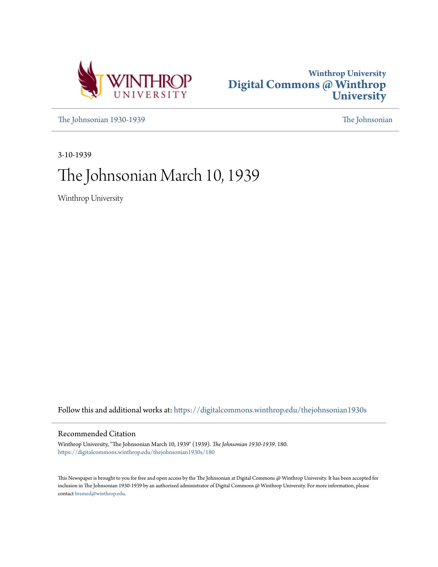



[The Johnsonian 1930-1939](https://digitalcommons.winthrop.edu/thejohnsonian1930s?utm_source=digitalcommons.winthrop.edu%2Fthejohnsonian1930s%2F180&utm_medium=PDF&utm_campaign=PDFCoverPages) [The Johnsonian](https://digitalcommons.winthrop.edu/thejohnsonian_newspaper?utm_source=digitalcommons.winthrop.edu%2Fthejohnsonian1930s%2F180&utm_medium=PDF&utm_campaign=PDFCoverPages)

3-10-1939

# The Johnsonian March 10, 1939

Winthrop University

Follow this and additional works at: [https://digitalcommons.winthrop.edu/thejohnsonian1930s](https://digitalcommons.winthrop.edu/thejohnsonian1930s?utm_source=digitalcommons.winthrop.edu%2Fthejohnsonian1930s%2F180&utm_medium=PDF&utm_campaign=PDFCoverPages)

## Recommended Citation

Winthrop University, "The Johnsonian March 10, 1939" (1939). *The Johnsonian 1930-1939*. 180. [https://digitalcommons.winthrop.edu/thejohnsonian1930s/180](https://digitalcommons.winthrop.edu/thejohnsonian1930s/180?utm_source=digitalcommons.winthrop.edu%2Fthejohnsonian1930s%2F180&utm_medium=PDF&utm_campaign=PDFCoverPages)

This Newspaper is brought to you for free and open access by the The Johnsonian at Digital Commons @ Winthrop University. It has been accepted for inclusion in The Johnsonian 1930-1939 by an authorized administrator of Digital Commons @ Winthrop University. For more information, please contact [bramed@winthrop.edu](mailto:bramed@winthrop.edu).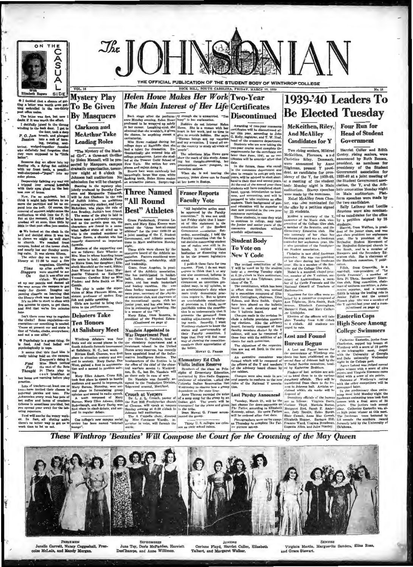

O I decided that a chance of get<br>ting a letter was worth even get<br>ting embroiled in the ten-thirt;<br>port office melee.

VOL. 16

**To Be Given** 

 $J$ *k* $\epsilon$ 

**Helen Howe Makes Her Work Two-Year** 

From Review Plate Main Interest of He Life Certificates 1939-240 Leaders To  $\frac{1}{100}$  Maximum and  $\frac{1}{100}$  Maximum and  $\frac{1}{100}$  Maximum and  $\frac{1}{100}$  Maximum and  $\frac{1}{100}$  Maximum and  $\frac{1}{100}$  Maximum and to let the present legislation<br>state of two states of two lets that is a paiked these facts for two<br>states and a reveal and a reveal and a reveal and a reveal of this<br>kind, it or any discussion of the contribution. The ig

## 1939-'40 Leaders To **Be Elected Tuesday**

consider a searching a searching of the same of the same of the same of the same of the same of the same of the same of the same of the same of the same of the same of the same of the same of the same of the same of the s

## These Winthrop 'Beauties' Will Compose the Court for the Crowning of the May Queen



**FRESHMEN** Jenello Garrett, Nuncy Coggeshall, Francoise McLain, and Mandy Morgan.

**SOPHOMORES** June Toy, Doris McFadden, Harriett<br>DesChamps, and Anne Willimon.

**JUNIORS** Corinne Floyd, Harriet Culler, Elizabeth<br>Talbert, and Margaret Walker.

Virginia Martin, Marguerite Sanders, Eliza Ross, and Grace Stewart.

**SENIORS** 

THE OFFICIAL PUBLICATION OF THE STUDENT BODY OF WINTHROP COLLEGE ROCK HILL, SOUTH CAROLINA, FRIDAY, MARCH 10, 1939

The Main Interest of Her Life Certificates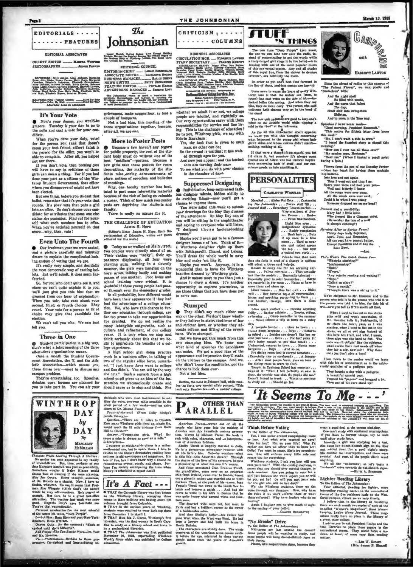



### EDITORIAL ASSOCIATES

SOCIETY EDITOR \_\_\_\_\_\_\_\_ MARTHA WOFFO **PHOTOGRAPHER** Japane Pa

7.23; Brity Adams, Anna Airbeart, Margaret<br>Filakoth Capperse, Many Cereb, Karajaan<br>Filakoth Capperse, Minabeli Catalogian<br>Air, Historic Davison, Kitab Centry, Karajaan<br>A. Historic Davis Centry, Catalogian<br>Riastoch Ragers, Elianbeth C<br>taler, Mustra<br>ty Kemper, C

### **It's Your Vote**

Now's your chance, you would-be<br>gripers. Tuesday is your day to go to<br>the polls and cast a vote for your can-

When you've done your duty, votfor the person you (and that doesn't<br>mean your best friend, either) think is<br>the person for the office, you won't be able to complain. After all, you helped put her there.

If you don't vote, then nothing you and have to say in criticism of those<br>girls can mean a thing. For if you had<br>done your part as a citizen of the Winthrop Student Government, that officer whem you disapprove of might not have been elected.

ut one thing, before you do cast that ballot, remember that it's your vote that counts. It's your vote that puts a girl into an office. So don't choose your can-<br>didate for attributes that some one else claims she possesses. Find out for your-<br>self what each nominee has to offer. When you've satisfied yourself on that -why, then, vote! acora

### **Even Unto The Fourth**

Our freshman year we were seated,<br>and a picture carefully and minutely drawn to explain the complicated-looking system of voting that we use.

the system of voting that we use.<br>It's really very simple, and decidedly<br>the most democratic way of casting bel-<br>lots. But we'll admit, it does seem farfetch ρd.

So, for you who don't quite see it, and since we can't quite explain it to you, we'll just give you this hint that we gleaned from our hour of explanation.<br>When you sote, take care about your second, third, or fourth choices. They count. Your vote for a person as third<br>choice may give that candidate the election

We can't tell you why. We can just tell you.

### **Three in One**

Student participation in a big way, diate what a joint meeting of the three<br>all-student organizations means.<br>Once a month the Student Govern-

ment Association, the Y, and the Athletic Association--which means you,<br>three times over-meet to discuss any nus problem.

They're entertaining, too. Speeches debates, open forums are planned for<br>you to take part in. You can air your

The

Johnsonian

Issued Weshly During School Your Enemy Bottley<br>Portent, During the Engular Boarlon the Official Oyacs of<br>the Statens Body of Western College, The Boath Care<br>line College for Western

EDITORIAL COUNCIL

The Johnson's wants to morit a reputation for<br>assuming, thereophases, and interests in neurolast the<br>Winters campus. Will you himily call our plushing to<br>any indicate to many to to those three fundamentals<br>of coal increasi

ouple of bouquets.<br>Not a bad idea, this nuesting of the

three organizations together, because, after all, we are one.

**More to Poster Pests** 

dent body must do vrtheut one of its<br>best "notifiers"---potters. Because a<br>few girls take these posters for room<br>decorations, the majority of the stu-

dents miss seeing announcements of<br>plays, notices of speeches, and bulleting

of meetings.<br>Why, one faculty member has hesitated to post some interesting material<br>because of the risk of losing zo valuable

poster. Think of how much you poster<br>sts are depriving the students and

There is really no excuse for it,

THE CHALLENGE OF EDUCATION

THE CHALLENDE H. HOPE<br>(Editor's Note: James H. Hope, State Superintendent of Education, writes our guest<br>editorial for this week.)

● Today as we walked up Main arect,<br>
cynocynus were directly ahead of us.<br>
Their clothes were "tacky", their appearance displeasing, all four were<br>
phenoment, the girls were hanging on the<br>
chewing gum, walking in a doven

In all probability, how different would<br>had the advantage of a college educa-<br>tion. We, who have this chance to fur-<br>ther our education through college, are

far too prone to take our opportunities<br>for granted. We do not realize the<br>many intangible outgrowths, such as

culture and refinement, of our college years. It is only when we stop and think seriously about this that we be-

gin to appreciate the benefits of a col-

work in a business office, in talking of

Nors in a business office, in talking or<br>two of the regular office force, remark-<br>ed, "I just knew Jane went to college<br>and Sue didn't. You can tell by the way

she acts." Such a remark from a high<br>school pupil gives us an idea of the im-

should cause us to stop and think. For

dividuals who were most instrumental in set

n we unconsciously create and

experience.<br>high school girl, doing practice

In all probability, how differ

Today as we walked up Main street,

of meetings.

a p

pests are

A

press

for public property, the rest of the

Because a few haven't any regard

sces, make suggestions, or toss a

THE JOHNSONIAN

BUSINESS ASSOCIATES

 $\begin{minipage}{0.9\textwidth} \begin{tabular}{p{0.85\textwidth}} \textbf{SUBS} & \textbf{MSIN} \\ \textbf{C} & \textbf{RCU} & \textbf{MSIN} \\ \textbf{S} & \textbf{RAP} & \textbf{S} & \textbf{S} \\ \textbf{S} & \textbf{RAP} & \textbf{S} & \textbf{S} \\ \textbf{S} & \textbf{RAP} & \textbf{S} & \textbf{S} \\ \textbf{S} & \textbf{S} & \textbf{S} & \textbf{S} \\ \textbf{S} & \textbf{S} & \textbf{S} & \textbf{S} \\ \textbf{S} & \$ 

Sairley, Pioresce Varn.<br>ADVERTISING BYAJY: Mary Harre College Berns, College Back, Themas Highles Mary Hollawing<br>Cruic, Josephane Pant, Messiern Links, Messiern<br>Links, Mary Lune, Ann P Jimma.<br>Clara Wels, Por Williams, Ann

Hartingal Myertialny Service, Inc., 440 Models Patrick Hartings (Mary Tone, N.Y.

whether we admit it or not, we college<br>people are labelled, and rightfully so.<br>Our very opportunities carry with them<br>responsibilities for exrites and fine liver.<br>ing. This is the challenge of education is<br>at live in Sarkh

Yes, the task that is given to each

So the errand is waiting; it has wait-

So the errand is waiting; it has wait-<br>ed through ages for you.<br>And now you appear; and the hushed<br>ones are turning their gaze<br>To mee what you do with your chance<br>To mee what you do with your chance

**Suppressed Designing** 

Individuality, long-suppressed fash-

do exciting things-now you'll get a<br>chance to express them.<br>You were asked this week to submit

your drawings for the May Day dresses<br>of the attendants. On May Day one of<br>you will be sitting in the amphitheater

and saying to everyone who will listen,<br>"I designed these lusclous-looking

dresses."<br>
Maybe you'll even get to be a famous<br>
designer becau.c of 'em. Think of it-<br>
a Winthrop daughter right up there<br>
with Schlaparelli, Chanel, and Lelong.<br>
You'll dress the whole world in navy

Maybe you won't. Anyway, it is a<br>wonderful plan to have the Winthrop

beauties dressed by Winthrop girls.<br>And it means more to you than just a<br>chance to draw a dress. It's another

opportunity to express yourselves, to<br>see those things that you have done put

They didn't say much either one way or the other. We don't know wheth-

er they believe in strict obedience of law

and stricter laws, or whether they ad-

vocate reform and lifting of the severe

between the got this much from this<br>new stumping Idea. We know now<br>what kind of speeches the candidates

can make. We got a good idea of the<br>appearance and impression they'll make on the visitors to the campus. And we,

who didn't know the campus. And we,<br>chance to look them over.<br>Not a bad idea.

Berthe, the maid in Johnson hall, while making tea for a very special affair punned, "This isn't ouly Russian tea.... it's a rushin' college.

hlue and make 'em like it.

 $\frac{1}{2}$ 

dregses.

to some use. **Stumped** 

bans. We're stumped.

 $\bullet$ 

t would

an, no other can do;



The new tune "Deep Purple" (you know, the one we can hear now or the radio, instead of concentrating to get the words while a test<br>y-largest grid sings it in the halls)---lining the level property<br>depends on the speed of The new tune "Deep Purple" (you knot

The season is the specifical matrix of the season of the season of the specific second on the outside world while nipping a cold in the "bed" at the infirmary. As for all this dislocated we have season with this thought c

nothing, nothing at all.<br>
If that were a facegorithelic specific solution of Adam side cyntectors<br>  $\Gamma$  delaim it, but somehow it's always some<br>
cynical son of Adam who has irenical inspire<br>
tions concerning fact i's staff

**PERSONALITIES** 

**CHARLOTTE WHEELER** 

Marshal . . . Alpha Psi Zeta . . . Cartoonist



March 10, 1939

Since the advent of radios to this campus of<br>"The Fairest Flower", we wax postle and quotaclous" with:

otacious" with shall<br>
And the night shall<br>
Be filled with music,<br>
And the cares that infest<br>
The day,<br>
Shall sink into swing-time<br>
Oblivies,<br>
And to news in the Esse way.

*hes I heve never made*<br>nod morning, President Ro<br>tis makes the fiftieth let

ees."<br>, I don't want a ride to town."<br>seard the funniest story in chap  $N_{\rm b}$ <br>"I heard

raing."<br>How can I ever nee all these cuta?"<br>My ermine cape, Hortense."<br>Dear ne." (When I busted a pencil point<br>ing a quiz.)

Theory from the pen of one Derothy Parker<br>bless her heart for having these quotable nylv:

Into love and out again<br>Thus I went out and thus I go. Spare your voice and hold your per<br>Well and bitterly I know

West and bitterly 1 news<br>All the songs were ever sing,<br>All the words were ever said;<br>Could it be when I was young<br>Sonsone dropped me on my head?

 $\text{conv3}$  and a peerfelity:<br>
Mary had -, little lamb<br>
Who dressed like a Clemson (Remomber the tale of a welf<br>
in sheep's clothing?)

Assume of the community of the Christian Control of the Christian Christian Christian Christian Christian Christian Christian Christian Christian Christian Christian Christian Christian Christian Christian Christian Christ

 $-\log$ 

ķ

 $\begin{array}{ll}\n\text{The $T$-k} & \text{where $T$-k} & \text{Check} & \text{Convers} & \text{The}\\
\text{with } T & \text{The}\\
\text{The } T & \text{The}\\
\text{The } T & \text{The}\\
\text{The } T & \text{The}\\
\text{The } T & \text{The}\\
\text{The } T & \text{The}\\
\text{The } T & \text{The}\\
\text{The } T & \text{The}\\
\text{The } T & \text{The}\\
\text{The } T & \text{The}\\
\text{The } T & \text{The}\\
\text{The } T & \text{The}\\
\text{The } T & \text{The}\\
\text$ "Hard."

"Rivery."<br>"Nivery."

"Any outside reading and writing?"

"Nope."<br>"Called on often?"<br>"Once a month."<br>"Thought there was a string to it."

We're obligated to Mr. Houston and to the<br>person who told it to the person who told it to<br>the person who told it to him, for this bit of<br>wit—now you toll us if it's worth all that,

-wor you tell us if it's worth all ideal,<br>when it is explicited by the self-state of the self-state of the<br>self-state of the self-state of the self-state of the self-state<br>of the self-state of the self-state of the self-s they lay a sig, naw sub! Why

 $E$  rom fowls to the canine world we jump with this bit of wonderment as to the aristocratic qualities of a pedigree psp.

New source is a peutgree paper of the bought a pedigree,<br>A heautiful spaniel pup;<br>Framed his "papers" and bragged a lot,<br>Then one of his ears stood up!

rabal ... Alpha rat ... Tai'er staff 78 ....<br>nd rtaff ... Secondary Uducation club ...<br>nd rtaff ... Secondary Uducation club ...<br>ion Param ... Benier ... hence ... ... From Spartanburg.<br>... From Spartanburg. for The Jol ... From Spartanburg,<br>
Light blue orge ...<br>
Ludgmißennt orgelashes<br>
... Baddy complexion<br>
... Dark hair ... Path ... Path<br>
it up once in a blue<br>
moon ... Used to wear<br>
the top ... Has now<br>
a valued two cuts<br>
a valued from  $\mathbf{r}$ Friends fear that next

time she feels in need of a change in colffure

WINTHROP DAY bu DAY By **MARGARET McMuraw** 

Theoretic Wille Leading Theoretic African Control (a matching the School (a School (a matching of the school (as a matching of the Margaret Mitchell was just as per<br>aimiting time Margaret Mitchell was just as per<br>aimiting king Through A Mailboz:

when  $\mathbf{q}$  = (in the cantern): "She's so<br>
Add People Who Can Smoke Pipes—Dr. Fort<br>
nd Mr. Houston.<br>
When Smoke Pipes—Dr. Fort

ntation-Orchids to those pro-<br>aighted and long-suffering in-Via a Pre<br>wako, fa

a to Cucsur.<br>Amazer--"Twenty-one girls. Why? Be<br>me a miss is always as good as a mile." ...  $Lik$ Librarycites-<br>I suppose ye-wielder-of-la-plume is a r<br>nentimental one, but in spare times, I lo<br>ratable in the library downstairs reading

How 1 and yon in old newspapers and magazines. It's<br>lots of fun, but I don't know why I should be consumbering events, people, and places. Pearson terms events, people, and places. Pearson in the control of the state of the state of the state of the state of the state of the state of the state of the state of the state

# It's A Fact ---

 $\begin{tabular}{|c|c|c|c|c|} \hline \textbf{8.6--0} & \textbf{8.6--0} & \textbf{8.6--0} & \textbf{9.7--0} \\ \hline \textbf{6.778A} & \textbf{7.8--0} & \textbf{7.8--0} & \textbf{8.8--0} & \textbf{8.8--0} & \textbf{8.8--0} & \textbf{8.8--0} & \textbf{8.8--0} & \textbf{8.8--0} & \textbf{8.8--0} & \textbf{8.8--0} & \textbf{8.8--0} & \textbf{8.8--0} & \textbf{8.8--$ 

 $\label{eq:1} \vspace{-0.2cm} \begin{tabular}{r|rrrr} \hline \multicolumn{3}{c}{\emph{A} series. } \hline \hline \multicolumn{3}{c}{\emph{A} series. } \hline \hline \multicolumn{3}{c}{\emph{A} series. } \hline \hline \multicolumn{3}{c}{\emph{A} series and this result below events and the number of A has. We then will be used to show a list of the data. We can be called a result, and an interpret to be a list of the data, and a list of the data. The algorithm is highly married to be used to be used to be used to be used to be used to be used to be used to be used to have a natural data. The mean system is a a matrix of what has a matrix of the data. The$ 

ma quite bappy with several wrees ann sources<br>on quite beyond the wept nod, but went to share the particular hard a brilliant career as the owner<br>aris and hed a brilliant career as the owner<br> $\ell$  a finalizable sales,<br>And

panorama of<br>ly before the

"No Breaks" Drive

To Drenaw arrive<br>To the Editor of The Johanneless:<br>Mid-terma are just are<br>und the corner! Some people will he wanding to study, such some people will heng do-rot-disturb eigen on<br>their deers.<br>Please, let's respect these al

leading?<br>Again I implore you to give much the sught<br>to the casting of your ballot.<br>-GLANTE BEAMLETTE

thinks You may want to communicate in the matter and the<br>life the red matter of the multiple of the red matter of the state<br>of the column of the control. Therefore, the column of the<br> $\alpha$  particle of the column of the col  $-$  mm to criticial. You may want inerely to take<br>the back, Philadable material meeting a state of the section of<br>the same of the section of the section of the section of<br>the back is failing to select their endpoints will - structure valuation and the distance of the Zilian of The Zilian cord conductions or lens. And what refer to here are or lens. And what refer seeded my earn? Vole for here? Net a goes likely The must be reached my earn o

'It Seems To Me - - -'

stean a good deal to the person studying. One can't study with event<br>interruptions. If you have to borrow things, try to wait if ster study bour.<br>If you have to borrow things, try to wait also like hung iter deads of<br>the

**Lighter Reading Library** 

Lighter Reading Library<br>
To the Editor of The Johannes . The Colember of the Editor of The John<br>
Tour editorial, pleading for lighter, more received in the secretion<br>
information of the fluctuation of the more than the Si



thus she freels in need of a change in colfure<br>will adopt a three curl barbed.<br>Known to every one for here availing examples<br>tooms ... Paints pertenties ... That actually<br>lead the the models ... Unursually salented ...<br>Ex

rconci<br>Like sport clothes . . . Detests anything<br>rilly . . . Rather athletic . . . Tennia, riding<br>winoning . . . Camp councilor in the sammer<br>. . Never misses a trip to town on a rainy

**Think Before Voting** 

dividual who were most instrumental in not-line<br>displace the scheme model in the short period of a few week<br>does n to Dr. Mowest France. <br> does n to Dr. Mowest France. <br>  $\label{eq:2.1} The  
r.t.~\textit{F}^\textit{1}{}^\textit{1}{}_\textit{F}^\textit{1}{}^\$ **OTHER THAN** D ARALLEL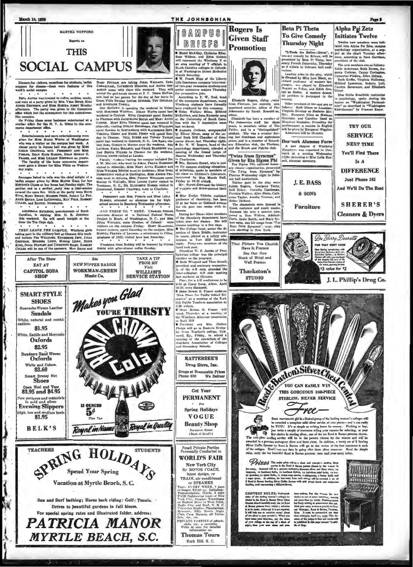



Dinners for visitors, recep<br>ppers for classes-these<br>cek's social campus. were for  $\cdots$  $\overline{\phantom{a}}$ 

BETA ALPHA was treated to coffee, cookies, candy,<br>and nute at a party given by Mrs. Vina Barcz, Miss<br>AGNES EMCKON, and Mts MARIKA ARBET Monday<br>afternoon. The party was given in the Commerce<br>different. The party was given i

On Friday these same bestesses entertained at a imilar affair for the N. Y. A. Gutta in the comree department office.

a compared the search of the search of the search of the search property of the state of the state of the state of the state of the state of the state of the state of the state of the state of the state of the Parameter. A

day night.

 $\ddot{\phantom{0}}$ sages buked in rolls was the chief delight of a<br>supper given by Miss Maupz HALL for her<br>of CLASS at her home last Sunday night. The fet s METHOD'S CLASS at her home last Shuday night. The<br>perfect end to a perfect party was a chat-season<br>around the open fire. Girls at the party were Round<br>KiNG, MARY REGAN, Mixism PRICE, SAKAH La For<br>ALICE BRYAN, LOIS hicCONNE

After The Show

EAT AT

**CAPITOL SODA** 

**SHOP** 

**SMART STYLE SHOES** che Woven Leath

**Sandals** 

81.95

Oxfords

White and Colors<br>\$3.60

art Dressy Net

Heel and To

\$3.95 and \$4.95

ew patterns and materials<br>in gold and silver

**Evening Slippers** 

**BELK'S** 

**TEACHERS** 

High. low and med

Ńч.

ddle and Mocc Oxfords \$2.95 ers Hand Wo

White, natural and co

White,

### ARCHIBALD RUTLEDGE, post-laureate of South Carolina, in visiting Mits. D. B. JOHNSON<br>this weekend. He will speak tenight at the<br>Over the Tea Cups club. ۰.  $\cdot$

Greenwood, General Charles Wert to Charlotte.<br>
PRESIDENT AND MES. PRESIDENT AND MASS Represents the second strellar and the second strellar and the second strellar control of the Michael Strellar Works of the National Fede rs on the campus Friday. MARY MARGHALL VISITORY 4-N 100 campus Fruey, State Showcaster, April 1987<br>MARTIIA FRANKS of Learens, a missionary to China,<br>graduate of 1922, visited here has Saturday.

Freshmen from Boddey will be honored by SENIOR<br>REER with after-dinner coffee Sunday.

 $Q_{\text{obs}}$ 

**NEW NIPPER RADIOS** 

**WORKMAN-GREEN** 

Makes you Glad

Music Co.

 $54$ 

Royal in Name

SPRING HOLIDARY

Vacation at Myrtle Beach, S.C.

Sun and Surf bathing; Horse back riding; Golf; Tennis. .

Drives to beautiful gardens in full bloom. For special spring rates and illustrated folder, address: PATRICIA MANOR

**MYRTLE BEACH, S.C.** 

TAKE A TIP

**FROM ME** 

Visit

**WILLIAM'S** 

**SERVICE STATION** 

**RE THIRSTY** 

Early Royal in Quality

**STUDENTS** 

THE JOHNSONIAN

**GAMPUS** 

BRIEFS

el McAliley, Ch

 $\bullet$   $\times$ 

**Rogers** Is

**Given Staff** 

**Promotion** 

Have It Framed

See Our New<br>Stock of Metal and

Wall Frames

Thackston's

**STILDIO** 

 $\begin{tabular}{p{0.875\textwidth}} \hline \textbf{P}~in this Winger and true Tero Sowell, \\ \hline \textbf{P}~in this Wier-diskentary respectwise, \\ \hline \textbf{Inter-coliselet}~6-11~cbox~dode, \\ \hline \textbf{Inter-coliselet}~6-11~cbox~dode, \\ \hline \textbf{Let weekred at Clemons.} \\ \hline \textbf{I}~in~s~in~s~in~4-11~cboxferenet to be 1000~cbox, \\ \hline \textbf{I}~in~s~in~s~in~4-11~cboxferenet to be 23:29, were diameter. \\ \hline$ 

Winthrop Alumnae association

**RATTERREE'S** Drug Store, Inc.

**PERMANENT**  $\bullet$  For

**VOGUE Beauty Shop** 

Hampton Street<br>(Back of Good's)

Small Private Parties<br>Personally Conducted to

New York City By MOTOR COACH,

TRAIN, air condition her

or STEAMER<br>Four-Eister (1976)<br>Team-Eister (1976)<br>Transportation, littela, 2 days<br>Transportation, littela, 2 days<br>TAMESightesvier (1976)<br>Verk City, Steamer Traveleque<br>Radio City and Roof, N. B. C.<br>Radio City and Roof, N. B.

be, etc., a specialty.<br>nt once for detailed<br>information to:

Rock Hill, S. C.



"L'Ecole des Belles-Me

.<br>His Other m

# Alpha Psi Zeta

## **Initiates Twelve**

AMARELE DE TRESPARE THE INTERNATIONAL STATE AND DESCRIPTION OF THE USE PART AND DESCRIPTION ON THE USE OF THE USE OF THE USE OF THE USE OF THE USE OF THE USE OF THE USE OF THE USE OF THE USE OF THE USE OF THE USE OF THE US

on-act comedy by Brieux, will be<br>presented by Beta Pi Theta, hon-<br>orary French fraternity, Thursday<br>at 8 o'clock it. Johnson hall audipresident of the club.<br>The new members are as follows.<br>Adele Ackerman, Ruth Brown, Augusta Cothran, Cappy Covington.<br>gusta Cothran, Cappy Covington.<br>Catherine Finklea, Ellen Gidney.<br>Ruth Griffin, Virginia Hallown. terium.<br>Leading roles in the pley, which is directed by Miss Lots Black, and<br>listant professor of modern line-<br>puages, are played by Elizabeth (topper as Fifting, and Edith Gen-<br>type as Fifting, and Edith Gen-<br>type as Andr

Mildred Lawr  $\overline{\mathbf{s}}$ ris Lott Carolyn Saverance, and Elk Miss Stella Bradfield, instru

in paychology, speake during the super on "Washington Personal ities" as described in "Washington" ot the cast are as<br>Dixon as Leontine:







**Prizz** 6 The major prime of the trainer and any contract the service of the service of the service of the service of the service of the service of the service of the service of the service of the service of the service of

EST 2111.24 Contest should carefully study of<br>the to be seeds of the schick<br>in to be seeds, Although it is a<br>in will help you to contribut as<br>of the silves at your jeveler's. ÷

te. New ies the webful of person as possible .<br>your ontry as soon as possible . To assume the person<br>whether the person of the box of the box of the person<br>whether the person of the box of the set of the set of the set<br>of the set



mananyi



solution area meeting of Y officials in<br>South Carolina colleges in Columbia at Washington Street Methodist<br>church Saturday.<br>O W. E-

one.<br>
The Miss Evelyn Tibbets, aasistant<br>
professor of chemistry, has been<br>
ill at her home on Oakland avenue<br>
for the past two weeks with in-

formers. The difference of the state of the state of the state of the state of the channel of the chemistry department have  $\gamma$  and the case of the chemistry department have  $\gamma$  and  $\gamma$  and  $\gamma$  and  $\gamma$  and  $\gamma$  and  $\$ 

bration in rort and members of the<br>bund took part.<br>Dresident W. P. Jacobs of Pres-<br>president W. P. Jacobs of Pres-<br>byterian colloge was the principal<br>speaker on the program.<br>So Ruth Wingerd and Theo Sowell,

Then Mowat G. Fraser will<br>sprak Thursday at a meeting of

i Rock Hill<br>Tressident and Mrs. Shelton<br>Teleps will go to Enstern Kentuc-<br>y State Tencher's college, Rich-<br>and, Ky., Friday, to attend a<br>necting of the committen of the<br>outhern Association of Colleges

Drugs at Reasonable Prices<br>Phone 630 We Deliver Phone 630

**Get Your** 

**Spring Holidays** 

**WORLD'S FAIR** 

latest design, or<br>AIN, air condition

**RIVATE PARTIES of ath** 

**Thomas Tours**